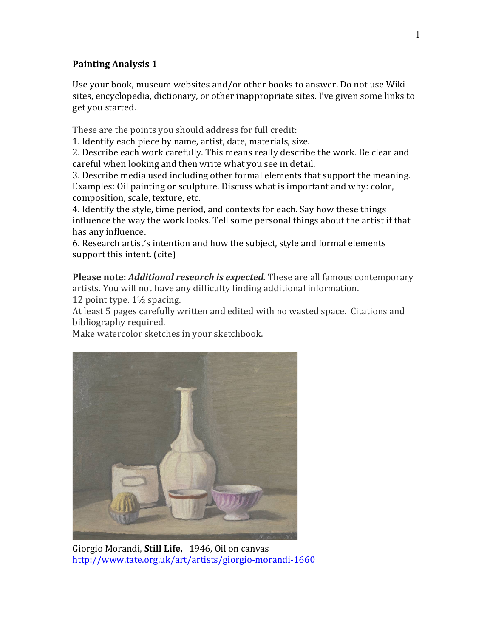## **Painting Analysis 1**

Use your book, museum websites and/or other books to answer. Do not use Wiki sites, encyclopedia, dictionary, or other inappropriate sites. I've given some links to get you started.

These are the points you should address for full credit:

1. Identify each piece by name, artist, date, materials, size.

2. Describe each work carefully. This means really describe the work. Be clear and careful when looking and then write what you see in detail.

3. Describe media used including other formal elements that support the meaning. Examples: Oil painting or sculpture. Discuss what is important and why: color, composition, scale, texture, etc.

4. Identify the style, time period, and contexts for each. Say how these things influence the way the work looks. Tell some personal things about the artist if that has any influence.

6. Research artist's intention and how the subject, style and formal elements support this intent. (cite)

**Please note:** *Additional research is expected*. These are all famous contemporary artists. You will not have any difficulty finding additional information.

12 point type.  $1\frac{1}{2}$  spacing.

At least 5 pages carefully written and edited with no wasted space. Citations and bibliography required.

Make watercolor sketches in your sketchbook.



Giorgio Morandi, **Still Life**, 1946, Oil on canvas http://www.tate.org.uk/art/artists/giorgio-morandi-1660